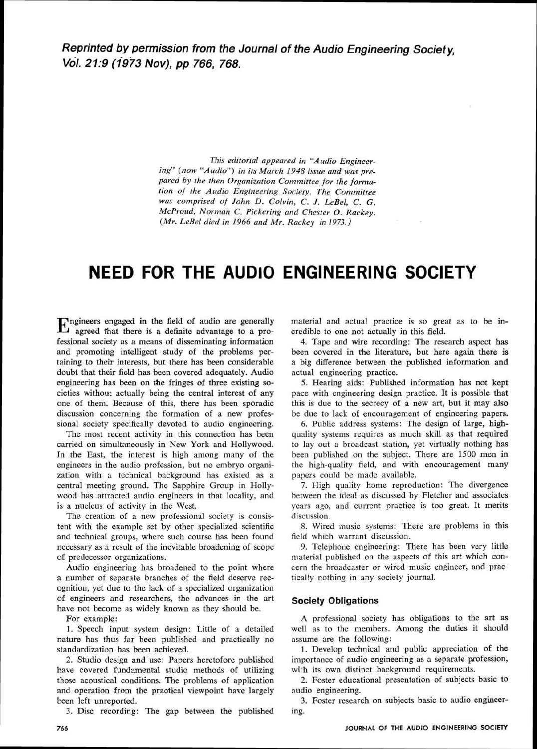Reprinted by permission from the Journal of the Audio Engineering Society, Vol. **27:9** (7973 Nov), pp 766, 768.

> *This editorial appeared in "Audio Engineering" (now "Audio") in its March 1948 issue and was prepared by the then Organization Committee for the formation of the Audio Engineering Society. The Committee was comprised of John D. Colvin, C. J. LeBel, C.* G. *McProud, Norman C. Pickering and Chester 0. Rackey. (Mr. LeBel died in 1966 and Mr. Rackey* in *1973.)*

# **NEED FOR THE AUDIO ENGINEERING SOCIETY**

Engineers engaged in the field of audio are generally agreed that there is a definite advantage to a professional society as a means of disseminating information and promoting intelligent study of the problems pertaining to their interests, but there has been considerable doubt that their fidd has been covered adequately. Audio engineering has been on the fringes of three existing societies without actually being the central interest of any one of them. Because of this, there has been sporadic discussion concerning the formation of a new professional society specifically devoted to audio engineering.

The most recent activity in this connection has been carried on simultaneously in New York and Hollywood. In the East, the interest is high among many of the engineers in the audio profession, but no embryo organization with a technical background has existed as a central meeting ground. The Sapphire Group in Hollywood has attracted audio engineers in that locality, and is a nucleus of activity in the West.

The creation of a new professional society is consistent with the example set by other specialized scientific and technical groups, where such course has been found necessary as a result of the inevitable broadening of scope of predcccssor organizations.

Audio engineering has broadened to the point where a number of separate branches of the field deserve recognition, yet due to the lack of a specialized organization of engineers and researchers, the advances in the art have not become as widely known as they should be.

For example:

1. Speech input system design: Little of a detailed nature has thus far been published and practically no standardization has been achieved.

2. Studio design and use: Papers heretofore published have covered fundamental studio methods of utilizing those acoustical conditions. The problems of application and operation from the practical viewpoint have largely been left unreported.

3. Disc recording: The gap between the published

material and actual practice is so great as to be incredible to one not actually in this field.

4. Tape and wire recording: The research aspect has been covered in rhe literature, but here again there is a big differenoe between the published information and actual engineering practice.

5. Hearing aids: Published information has not kept pace with engineering design practice. It is possible that this is due to the secrecy of a new art, but it may also be due to lack of encouragement of engineering papers.

6. Public address systems: The design of large, highquality systems requires as much skill as that required to lay out a broadcast station, yet virtually nothing has been published on the subject. There are 1500 men in the high-quality field, and with encouragement many papers could be made available.

7. High quality home reproduction: The divergence between the ideal as discussed by Fletcher and associates years ago, and current practice is too great. It merits discussion.

8. Wired music systems: There are problems in this ficld which warrant discussion.

9. Telephone engineering: There has been very little material published on the aspects of this art which concern the broadcaster or wired music engineer, and practically nothing in any society journal.

## **Society Obligations**

A professional society has obligations to the art as well as to the members. Among the duties it should assume are the following:

1. Develop technical and public appreciation of the importance of audio cngineering as a separate profession, with its own distinct background requirements.

2. Foster educational presentation of subjects basic to audio engineering.

3. Foster research on subjects basic to audio engineering.